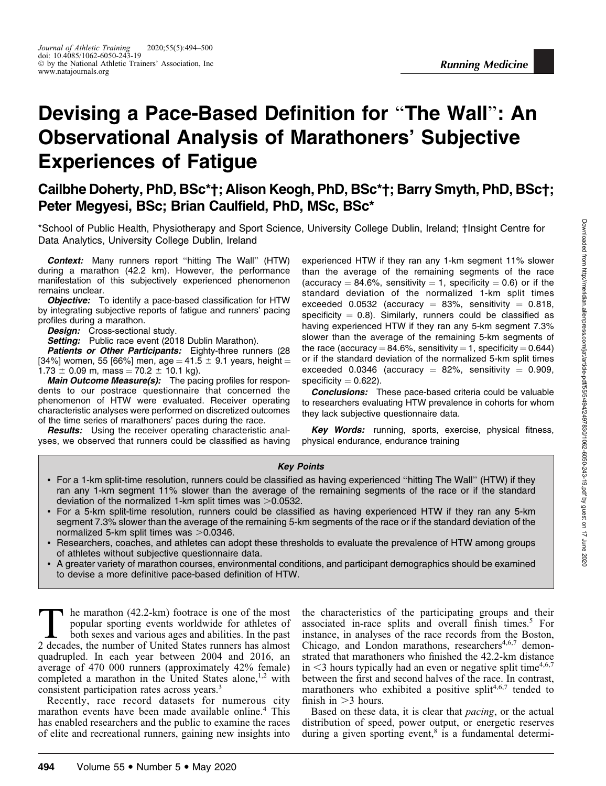# Devising a Pace-Based Definition for ''The Wall'': An Observational Analysis of Marathoners' Subjective Experiences of Fatigue

Cailbhe Doherty, PhD, BSc\*†; Alison Keogh, PhD, BSc\*†; Barry Smyth, PhD, BSc†; Peter Megyesi, BSc; Brian Caulfield, PhD, MSc, BSc\*

\*School of Public Health, Physiotherapy and Sport Science, University College Dublin, Ireland; †Insight Centre for Data Analytics, University College Dublin, Ireland

Context: Many runners report "hitting The Wall" (HTW) during a marathon (42.2 km). However, the performance manifestation of this subjectively experienced phenomenon remains unclear.

Objective: To identify a pace-based classification for HTW by integrating subjective reports of fatigue and runners' pacing profiles during a marathon.

Design: Cross-sectional study.

Setting: Public race event (2018 Dublin Marathon).

Patients or Other Participants: Eighty-three runners (28 [34%] women, 55 [66%] men, age = 41.5  $\pm$  9.1 years, height =  $1.73 \pm 0.09$  m, mass  $= 70.2 \pm 10.1$  kg).

Main Outcome Measure(s): The pacing profiles for respondents to our postrace questionnaire that concerned the phenomenon of HTW were evaluated. Receiver operating characteristic analyses were performed on discretized outcomes of the time series of marathoners' paces during the race.

Results: Using the receiver operating characteristic analyses, we observed that runners could be classified as having experienced HTW if they ran any 1-km segment 11% slower than the average of the remaining segments of the race (accuracy  $= 84.6\%$ , sensitivity  $= 1$ , specificity  $= 0.6$ ) or if the standard deviation of the normalized 1-km split times exceeded 0.0532 (accuracy  $= 83\%$ , sensitivity  $= 0.818$ , specificity  $= 0.8$ ). Similarly, runners could be classified as having experienced HTW if they ran any 5-km segment 7.3% slower than the average of the remaining 5-km segments of the race (accuracy = 84.6%, sensitivity = 1, specificity =  $0.644$ ) or if the standard deviation of the normalized 5-km split times exceeded 0.0346 (accuracy  $= 82\%$ , sensitivity  $= 0.909$ , specificity  $= 0.622$ ).

Conclusions: These pace-based criteria could be valuable to researchers evaluating HTW prevalence in cohorts for whom they lack subjective questionnaire data.

Key Words: running, sports, exercise, physical fitness, physical endurance, endurance training

## Key Points

- For a 1-km split-time resolution, runners could be classified as having experienced ''hitting The Wall'' (HTW) if they ran any 1-km segment 11% slower than the average of the remaining segments of the race or if the standard deviation of the normalized 1-km split times was  $>0.0532$ .
- For a 5-km split-time resolution, runners could be classified as having experienced HTW if they ran any 5-km segment 7.3% slower than the average of the remaining 5-km segments of the race or if the standard deviation of the normalized 5-km split times was  $>0.0346$ .
- Researchers, coaches, and athletes can adopt these thresholds to evaluate the prevalence of HTW among groups of athletes without subjective questionnaire data.
- - A greater variety of marathon courses, environmental conditions, and participant demographics should be examined to devise a more definitive pace-based definition of HTW.

The marathon (42.2-km) footrace is one of the most<br>popular sporting events worldwide for athletes of<br>both sexes and various ages and abilities. In the past<br>2 decades the number of United States runners has almost popular sporting events worldwide for athletes of both sexes and various ages and abilities. In the past 2 decades, the number of United States runners has almost quadrupled. In each year between 2004 and 2016, an average of 470 000 runners (approximately 42% female) completed a marathon in the United States alone, $^{1,2}$  with consistent participation rates across years.<sup>3</sup>

Recently, race record datasets for numerous city marathon events have been made available online.<sup>4</sup> This has enabled researchers and the public to examine the races of elite and recreational runners, gaining new insights into

the characteristics of the participating groups and their associated in-race splits and overall finish times.<sup>5</sup> For instance, in analyses of the race records from the Boston, Chicago, and London marathons, researchers $4,6,7$  demonstrated that marathoners who finished the 42.2-km distance in  $\leq$ 3 hours typically had an even or negative split time<sup>4,6,7</sup> between the first and second halves of the race. In contrast, marathoners who exhibited a positive split<sup>4,6,7</sup> tended to finish in  $>3$  hours.

Based on these data, it is clear that pacing, or the actual distribution of speed, power output, or energetic reserves during a given sporting event, $\delta$  is a fundamental determi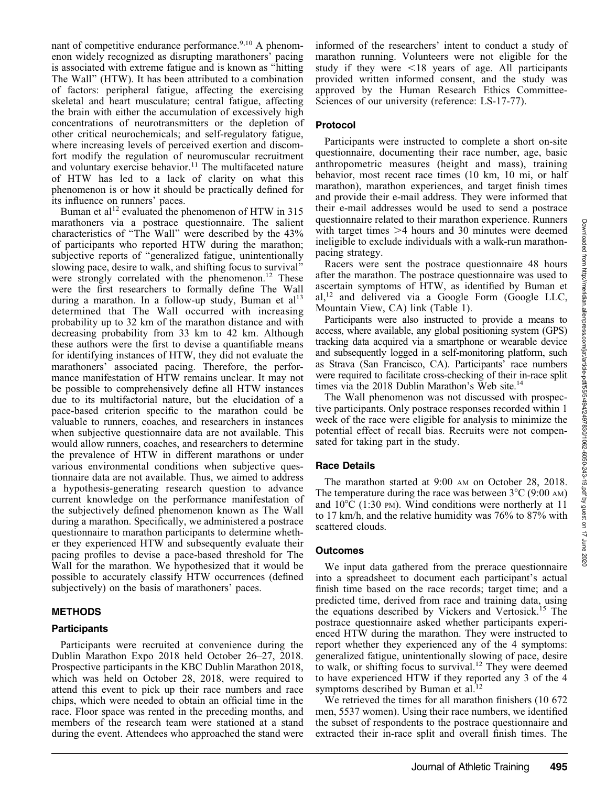nant of competitive endurance performance.<sup>9,10</sup> A phenomenon widely recognized as disrupting marathoners' pacing is associated with extreme fatigue and is known as ''hitting The Wall'' (HTW). It has been attributed to a combination of factors: peripheral fatigue, affecting the exercising skeletal and heart musculature; central fatigue, affecting the brain with either the accumulation of excessively high concentrations of neurotransmitters or the depletion of other critical neurochemicals; and self-regulatory fatigue, where increasing levels of perceived exertion and discomfort modify the regulation of neuromuscular recruitment and voluntary exercise behavior.<sup>11</sup> The multifaceted nature of HTW has led to a lack of clarity on what this phenomenon is or how it should be practically defined for its influence on runners' paces.

Buman et al<sup>12</sup> evaluated the phenomenon of HTW in  $315$ marathoners via a postrace questionnaire. The salient characteristics of ''The Wall'' were described by the 43% of participants who reported HTW during the marathon; subjective reports of ''generalized fatigue, unintentionally slowing pace, desire to walk, and shifting focus to survival'' were strongly correlated with the phenomenon.<sup>12</sup> These were the first researchers to formally define The Wall during a marathon. In a follow-up study, Buman et  $al<sup>13</sup>$ determined that The Wall occurred with increasing probability up to 32 km of the marathon distance and with decreasing probability from 33 km to 42 km. Although these authors were the first to devise a quantifiable means for identifying instances of HTW, they did not evaluate the marathoners' associated pacing. Therefore, the performance manifestation of HTW remains unclear. It may not be possible to comprehensively define all HTW instances due to its multifactorial nature, but the elucidation of a pace-based criterion specific to the marathon could be valuable to runners, coaches, and researchers in instances when subjective questionnaire data are not available. This would allow runners, coaches, and researchers to determine the prevalence of HTW in different marathons or under various environmental conditions when subjective questionnaire data are not available. Thus, we aimed to address a hypothesis-generating research question to advance current knowledge on the performance manifestation of the subjectively defined phenomenon known as The Wall during a marathon. Specifically, we administered a postrace questionnaire to marathon participants to determine whether they experienced HTW and subsequently evaluate their pacing profiles to devise a pace-based threshold for The Wall for the marathon. We hypothesized that it would be possible to accurately classify HTW occurrences (defined subjectively) on the basis of marathoners' paces.

## **METHODS**

## **Participants**

Participants were recruited at convenience during the Dublin Marathon Expo 2018 held October 26–27, 2018. Prospective participants in the KBC Dublin Marathon 2018, which was held on October 28, 2018, were required to attend this event to pick up their race numbers and race chips, which were needed to obtain an official time in the race. Floor space was rented in the preceding months, and members of the research team were stationed at a stand during the event. Attendees who approached the stand were informed of the researchers' intent to conduct a study of marathon running. Volunteers were not eligible for the study if they were  $\leq 18$  years of age. All participants provided written informed consent, and the study was approved by the Human Research Ethics Committee-Sciences of our university (reference: LS-17-77).

## Protocol

Participants were instructed to complete a short on-site questionnaire, documenting their race number, age, basic anthropometric measures (height and mass), training behavior, most recent race times (10 km, 10 mi, or half marathon), marathon experiences, and target finish times and provide their e-mail address. They were informed that their e-mail addresses would be used to send a postrace questionnaire related to their marathon experience. Runners with target times  $>4$  hours and 30 minutes were deemed ineligible to exclude individuals with a walk-run marathonpacing strategy.

Racers were sent the postrace questionnaire 48 hours after the marathon. The postrace questionnaire was used to ascertain symptoms of HTW, as identified by Buman et  $al$ ,<sup>12</sup> and delivered via a Google Form (Google LLC, Mountain View, CA) link (Table 1).

Participants were also instructed to provide a means to access, where available, any global positioning system (GPS) tracking data acquired via a smartphone or wearable device and subsequently logged in a self-monitoring platform, such as Strava (San Francisco, CA). Participants' race numbers were required to facilitate cross-checking of their in-race split times via the 2018 Dublin Marathon's Web site.<sup>14</sup>

The Wall phenomenon was not discussed with prospective participants. Only postrace responses recorded within 1 week of the race were eligible for analysis to minimize the potential effect of recall bias. Recruits were not compensated for taking part in the study.

## Race Details

The marathon started at 9:00 AM on October 28, 2018. The temperature during the race was between  $3^{\circ}$ C (9:00 AM) and  $10^{\circ}$ C (1:30 PM). Wind conditions were northerly at 11 to 17 km/h, and the relative humidity was 76% to 87% with scattered clouds.

## **Outcomes**

We input data gathered from the prerace questionnaire into a spreadsheet to document each participant's actual finish time based on the race records; target time; and a predicted time, derived from race and training data, using the equations described by Vickers and Vertosick.15 The postrace questionnaire asked whether participants experienced HTW during the marathon. They were instructed to report whether they experienced any of the 4 symptoms: generalized fatigue, unintentionally slowing of pace, desire to walk, or shifting focus to survival.<sup>12</sup> They were deemed to have experienced HTW if they reported any 3 of the 4 symptoms described by Buman et al. $^{12}$ 

We retrieved the times for all marathon finishers (10 672 men, 5537 women). Using their race numbers, we identified the subset of respondents to the postrace questionnaire and extracted their in-race split and overall finish times. The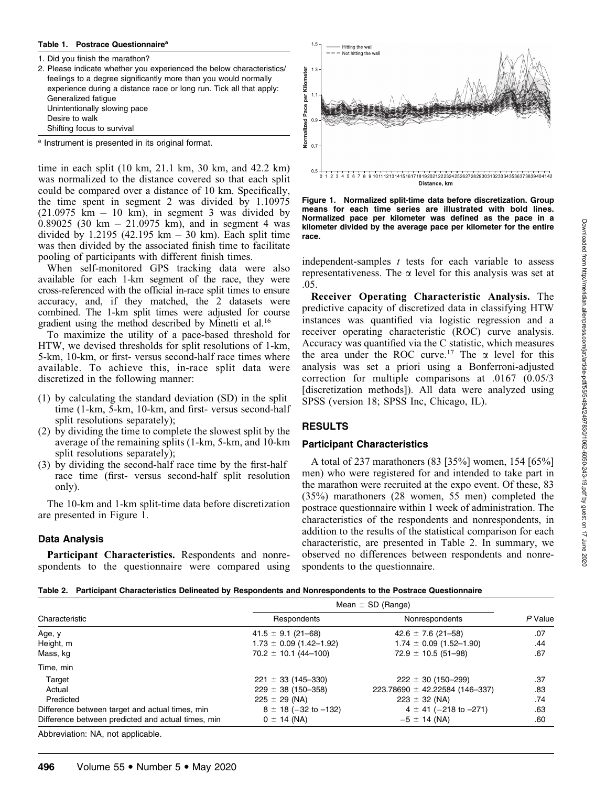#### Table 1. Postrace Questionnaire<sup>a</sup>

- 1. Did you finish the marathon?
- 2. Please indicate whether you experienced the below characteristics/ feelings to a degree significantly more than you would normally experience during a distance race or long run. Tick all that apply: Generalized fatigue Unintentionally slowing pace Desire to walk Shifting focus to survival

a Instrument is presented in its original format.

time in each split (10 km, 21.1 km, 30 km, and 42.2 km) was normalized to the distance covered so that each split could be compared over a distance of 10 km. Specifically, the time spent in segment 2 was divided by 1.10975  $(21.0975 \text{ km} - 10 \text{ km})$ , in segment 3 was divided by 0.89025 (30 km  $-$  21.0975 km), and in segment 4 was divided by 1.2195 (42.195 km  $-$  30 km). Each split time was then divided by the associated finish time to facilitate pooling of participants with different finish times.

When self-monitored GPS tracking data were also available for each 1-km segment of the race, they were cross-referenced with the official in-race split times to ensure accuracy, and, if they matched, the 2 datasets were combined. The 1-km split times were adjusted for course gradient using the method described by Minetti et al.<sup>16</sup>

To maximize the utility of a pace-based threshold for HTW, we devised thresholds for split resolutions of 1-km, 5-km, 10-km, or first- versus second-half race times where available. To achieve this, in-race split data were discretized in the following manner:

- (1) by calculating the standard deviation (SD) in the split time (1-km, 5-km, 10-km, and first- versus second-half split resolutions separately);
- (2) by dividing the time to complete the slowest split by the average of the remaining splits (1-km, 5-km, and 10-km split resolutions separately);
- (3) by dividing the second-half race time by the first-half race time (first- versus second-half split resolution only).

The 10-km and 1-km split-time data before discretization are presented in Figure 1.

## Data Analysis

Participant Characteristics. Respondents and nonrespondents to the questionnaire were compared using



Figure 1. Normalized split-time data before discretization. Group means for each time series are illustrated with bold lines. Normalized pace per kilometer was defined as the pace in a kilometer divided by the average pace per kilometer for the entire race.

independent-samples  $t$  tests for each variable to assess representativeness. The  $\alpha$  level for this analysis was set at .05.

Receiver Operating Characteristic Analysis. The predictive capacity of discretized data in classifying HTW instances was quantified via logistic regression and a receiver operating characteristic (ROC) curve analysis. Accuracy was quantified via the C statistic, which measures the area under the ROC curve.<sup>17</sup> The  $\alpha$  level for this analysis was set a priori using a Bonferroni-adjusted correction for multiple comparisons at .0167 (0.05/3 [discretization methods]). All data were analyzed using SPSS (version 18; SPSS Inc, Chicago, IL).

## RESULTS

## Participant Characteristics

A total of 237 marathoners (83 [35%] women, 154 [65%] men) who were registered for and intended to take part in the marathon were recruited at the expo event. Of these, 83 (35%) marathoners (28 women, 55 men) completed the postrace questionnaire within 1 week of administration. The characteristics of the respondents and nonrespondents, in addition to the results of the statistical comparison for each characteristic, are presented in Table 2. In summary, we observed no differences between respondents and nonrespondents to the questionnaire.

Table 2. Participant Characteristics Delineated by Respondents and Nonrespondents to the Postrace Questionnaire

|                                                    | Mean $\pm$ SD (Range)       |                                      |         |  |
|----------------------------------------------------|-----------------------------|--------------------------------------|---------|--|
| Characteristic                                     | Respondents                 | Nonrespondents                       | P Value |  |
| Age, y                                             | $41.5 \pm 9.1$ (21–68)      | $42.6 \pm 7.6$ (21-58)               | .07     |  |
| Height, m                                          | $1.73 \pm 0.09$ (1.42-1.92) | $1.74 \pm 0.09$ (1.52-1.90)          | .44     |  |
| Mass, kg                                           | $70.2 \pm 10.1$ (44-100)    | $72.9 \pm 10.5$ (51-98)              | .67     |  |
| Time, min                                          |                             |                                      |         |  |
| Target                                             | $221 \pm 33(145 - 330)$     | $222 \pm 30 (150 - 299)$             | .37     |  |
| Actual                                             | $229 \pm 38 (150 - 358)$    | $223.78690 \pm 42.22584 (146 - 337)$ | .83     |  |
| Predicted                                          | $225 \pm 29$ (NA)           | $223 \pm 32$ (NA)                    | .74     |  |
| Difference between target and actual times, min    | $8 \pm 18 (-32$ to $-132)$  | $4 \pm 41$ (-218 to -271)            | .63     |  |
| Difference between predicted and actual times, min | $0 \pm 14$ (NA)             | $-5 \pm 14$ (NA)                     | .60     |  |

Abbreviation: NA, not applicable.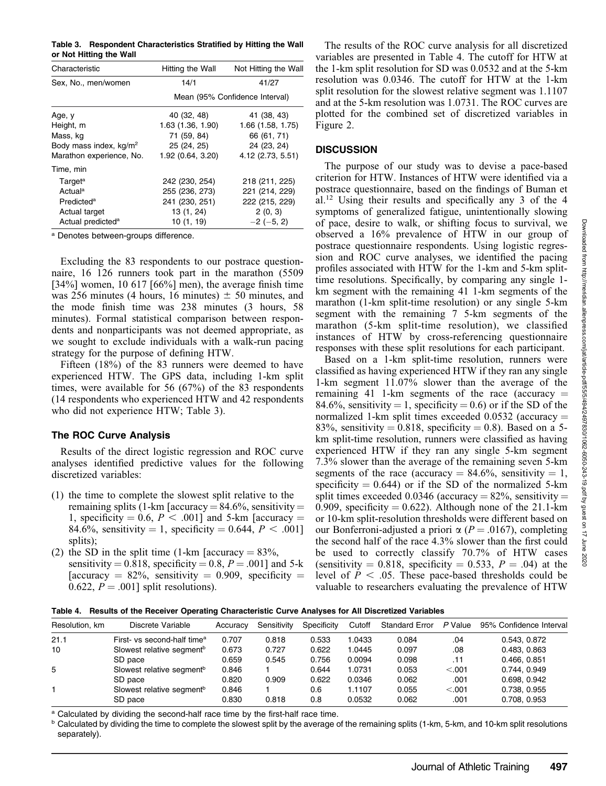Table 3. Respondent Characteristics Stratified by Hitting the Wall or Not Hitting the Wall

| Characteristic                     | Hitting the Wall               | Not Hitting the Wall |  |  |  |
|------------------------------------|--------------------------------|----------------------|--|--|--|
| Sex, No., men/women                | 14/1                           | 41/27                |  |  |  |
|                                    | Mean (95% Confidence Interval) |                      |  |  |  |
| Age, y                             | 40 (32, 48)                    | 41 (38, 43)          |  |  |  |
| Height, m                          | 1.63 (1.36, 1.90)              | 1.66 (1.58, 1.75)    |  |  |  |
| Mass, kg                           | 71 (59, 84)                    | 66 (61, 71)          |  |  |  |
| Body mass index, kg/m <sup>2</sup> | 25 (24, 25)                    | 24 (23, 24)          |  |  |  |
| Marathon experience, No.           | 1.92 (0.64, 3.20)              | 4.12 (2.73, 5.51)    |  |  |  |
| Time, min                          |                                |                      |  |  |  |
| Target <sup>a</sup>                | 242 (230, 254)                 | 218 (211, 225)       |  |  |  |
| Actual <sup>a</sup>                | 255 (236, 273)                 | 221 (214, 229)       |  |  |  |
| Predicted <sup>a</sup>             | 241 (230, 251)                 | 222 (215, 229)       |  |  |  |
| Actual target                      | 13 (1, 24)                     | 2(0, 3)              |  |  |  |
| Actual predicted <sup>a</sup>      | 10 (1, 19)                     | $-2(-5, 2)$          |  |  |  |

<sup>a</sup> Denotes between-groups difference.

Excluding the 83 respondents to our postrace questionnaire, 16 126 runners took part in the marathon (5509  $[34\%]$  women, 10 617  $[66\%]$  men), the average finish time was 256 minutes (4 hours, 16 minutes)  $\pm$  50 minutes, and the mode finish time was 238 minutes (3 hours, 58 minutes). Formal statistical comparison between respondents and nonparticipants was not deemed appropriate, as we sought to exclude individuals with a walk-run pacing strategy for the purpose of defining HTW.

Fifteen (18%) of the 83 runners were deemed to have experienced HTW. The GPS data, including 1-km split times, were available for 56 (67%) of the 83 respondents (14 respondents who experienced HTW and 42 respondents who did not experience HTW; Table 3).

#### The ROC Curve Analysis

Results of the direct logistic regression and ROC curve analyses identified predictive values for the following discretized variables:

- (1) the time to complete the slowest split relative to the remaining splits (1-km [accuracy =  $84.6\%$ , sensitivity = 1, specificity  $= 0.6$ ,  $P < .001$ ] and 5-km [accuracy  $=$ 84.6%, sensitivity = 1, specificity = 0.644,  $P < .001$ ] splits);
- (2) the SD in the split time (1-km [accuracy  $= 83\%$ , sensitivity = 0.818, specificity = 0.8,  $P = .001$ ] and 5-k [accuracy = 82%, sensitivity = 0.909, specificity = 0.622,  $P = .001$ ] split resolutions).

The results of the ROC curve analysis for all discretized variables are presented in Table 4. The cutoff for HTW at the 1-km split resolution for SD was 0.0532 and at the 5-km resolution was 0.0346. The cutoff for HTW at the 1-km split resolution for the slowest relative segment was 1.1107 and at the 5-km resolution was 1.0731. The ROC curves are plotted for the combined set of discretized variables in Figure 2.

#### **DISCUSSION**

The purpose of our study was to devise a pace-based criterion for HTW. Instances of HTW were identified via a postrace questionnaire, based on the findings of Buman et al.12 Using their results and specifically any 3 of the 4 symptoms of generalized fatigue, unintentionally slowing of pace, desire to walk, or shifting focus to survival, we observed a 16% prevalence of HTW in our group of postrace questionnaire respondents. Using logistic regression and ROC curve analyses, we identified the pacing profiles associated with HTW for the 1-km and 5-km splittime resolutions. Specifically, by comparing any single 1 km segment with the remaining 41 1-km segments of the marathon (1-km split-time resolution) or any single 5-km segment with the remaining 7 5-km segments of the marathon (5-km split-time resolution), we classified instances of HTW by cross-referencing questionnaire responses with these split resolutions for each participant.

Based on a 1-km split-time resolution, runners were classified as having experienced HTW if they ran any single 1-km segment 11.07% slower than the average of the remaining 41 1-km segments of the race (accuracy  $=$ 84.6%, sensitivity = 1, specificity = 0.6) or if the SD of the normalized 1-km split times exceeded  $0.0532$  (accuracy = 83%, sensitivity = 0.818, specificity = 0.8). Based on a 5km split-time resolution, runners were classified as having experienced HTW if they ran any single 5-km segment 7.3% slower than the average of the remaining seven 5-km segments of the race (accuracy  $= 84.6\%$ , sensitivity  $= 1$ , specificity  $= 0.644$ ) or if the SD of the normalized 5-km split times exceeded 0.0346 (accuracy  $= 82\%$ , sensitivity  $=$ 0.909, specificity  $= 0.622$ ). Although none of the 21.1-km or 10-km split-resolution thresholds were different based on our Bonferroni-adjusted a priori  $\alpha$  (P = .0167), completing the second half of the race 4.3% slower than the first could be used to correctly classify 70.7% of HTW cases (sensitivity  $= 0.818$ , specificity  $= 0.533$ ,  $P = .04$ ) at the level of  $P < .05$ . These pace-based thresholds could be valuable to researchers evaluating the prevalence of HTW

Table 4. Results of the Receiver Operating Characteristic Curve Analyses for All Discretized Variables

| Resolution, km | Discrete Variable                       | Accuracy | Sensitivity | Specificity | Cutoff | <b>Standard Error</b> | P Value | 95% Confidence Interval |
|----------------|-----------------------------------------|----------|-------------|-------------|--------|-----------------------|---------|-------------------------|
| 21.1           | First- vs second-half time <sup>a</sup> | 0.707    | 0.818       | 0.533       | 1.0433 | 0.084                 | .04     | 0.543, 0.872            |
| 10             | Slowest relative segment <sup>b</sup>   | 0.673    | 0.727       | 0.622       | 1.0445 | 0.097                 | .08     | 0.483, 0.863            |
|                | SD pace                                 | 0.659    | 0.545       | 0.756       | 0.0094 | 0.098                 | .11     | 0.466, 0.851            |
| 5              | Slowest relative segment <sup>b</sup>   | 0.846    |             | 0.644       | 1.0731 | 0.053                 | < .001  | 0.744, 0.949            |
|                | SD pace                                 | 0.820    | 0.909       | 0.622       | 0.0346 | 0.062                 | .001    | 0.698, 0.942            |
|                | Slowest relative segment <sup>b</sup>   | 0.846    |             | 0.6         | 1.1107 | 0.055                 | < 0.001 | 0.738, 0.955            |
|                | SD pace                                 | 0.830    | 0.818       | 0.8         | 0.0532 | 0.062                 | .001    | 0.708, 0.953            |
|                |                                         |          |             |             |        |                       |         |                         |

<sup>a</sup> Calculated by dividing the second-half race time by the first-half race time.

<sup>b</sup> Calculated by dividing the time to complete the slowest split by the average of the remaining splits (1-km, 5-km, and 10-km split resolutions separately).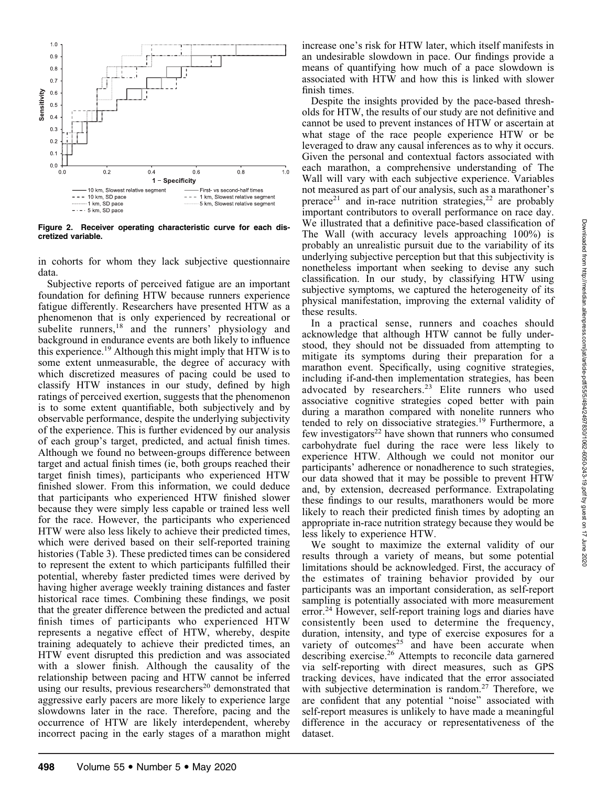

Figure 2. Receiver operating characteristic curve for each discretized variable.

in cohorts for whom they lack subjective questionnaire data.

Subjective reports of perceived fatigue are an important foundation for defining HTW because runners experience fatigue differently. Researchers have presented HTW as a phenomenon that is only experienced by recreational or subelite runners,<sup>18</sup> and the runners' physiology and background in endurance events are both likely to influence this experience.<sup>19</sup> Although this might imply that HTW is to some extent unmeasurable, the degree of accuracy with which discretized measures of pacing could be used to classify HTW instances in our study, defined by high ratings of perceived exertion, suggests that the phenomenon is to some extent quantifiable, both subjectively and by observable performance, despite the underlying subjectivity of the experience. This is further evidenced by our analysis of each group's target, predicted, and actual finish times. Although we found no between-groups difference between target and actual finish times (ie, both groups reached their target finish times), participants who experienced HTW finished slower. From this information, we could deduce that participants who experienced HTW finished slower because they were simply less capable or trained less well for the race. However, the participants who experienced HTW were also less likely to achieve their predicted times, which were derived based on their self-reported training histories (Table 3). These predicted times can be considered to represent the extent to which participants fulfilled their potential, whereby faster predicted times were derived by having higher average weekly training distances and faster historical race times. Combining these findings, we posit that the greater difference between the predicted and actual finish times of participants who experienced HTW represents a negative effect of HTW, whereby, despite training adequately to achieve their predicted times, an HTW event disrupted this prediction and was associated with a slower finish. Although the causality of the relationship between pacing and HTW cannot be inferred using our results, previous researchers<sup>20</sup> demonstrated that aggressive early pacers are more likely to experience large slowdowns later in the race. Therefore, pacing and the occurrence of HTW are likely interdependent, whereby incorrect pacing in the early stages of a marathon might increase one's risk for HTW later, which itself manifests in an undesirable slowdown in pace. Our findings provide a means of quantifying how much of a pace slowdown is associated with HTW and how this is linked with slower finish times.

Despite the insights provided by the pace-based thresholds for HTW, the results of our study are not definitive and cannot be used to prevent instances of HTW or ascertain at what stage of the race people experience HTW or be leveraged to draw any causal inferences as to why it occurs. Given the personal and contextual factors associated with each marathon, a comprehensive understanding of The Wall will vary with each subjective experience. Variables not measured as part of our analysis, such as a marathoner's prerace<sup>21</sup> and in-race nutrition strategies,<sup>22</sup> are probably important contributors to overall performance on race day. We illustrated that a definitive pace-based classification of The Wall (with accuracy levels approaching 100%) is probably an unrealistic pursuit due to the variability of its underlying subjective perception but that this subjectivity is nonetheless important when seeking to devise any such classification. In our study, by classifying HTW using subjective symptoms, we captured the heterogeneity of its physical manifestation, improving the external validity of these results.

In a practical sense, runners and coaches should acknowledge that although HTW cannot be fully understood, they should not be dissuaded from attempting to mitigate its symptoms during their preparation for a marathon event. Specifically, using cognitive strategies, including if-and-then implementation strategies, has been advocated by researchers.<sup>23</sup> Elite runners who used associative cognitive strategies coped better with pain during a marathon compared with nonelite runners who tended to rely on dissociative strategies.<sup>19</sup> Furthermore, a few investigators<sup>22</sup> have shown that runners who consumed carbohydrate fuel during the race were less likely to experience HTW. Although we could not monitor our participants' adherence or nonadherence to such strategies, our data showed that it may be possible to prevent HTW and, by extension, decreased performance. Extrapolating these findings to our results, marathoners would be more likely to reach their predicted finish times by adopting an appropriate in-race nutrition strategy because they would be less likely to experience HTW.

We sought to maximize the external validity of our results through a variety of means, but some potential limitations should be acknowledged. First, the accuracy of the estimates of training behavior provided by our participants was an important consideration, as self-report sampling is potentially associated with more measurement error.<sup>24</sup> However, self-report training logs and diaries have consistently been used to determine the frequency, duration, intensity, and type of exercise exposures for a variety of outcomes<sup>25</sup> and have been accurate when describing exercise.<sup>26</sup> Attempts to reconcile data garnered via self-reporting with direct measures, such as GPS tracking devices, have indicated that the error associated with subjective determination is random.<sup>27</sup> Therefore, we are confident that any potential ''noise'' associated with self-report measures is unlikely to have made a meaningful difference in the accuracy or representativeness of the dataset.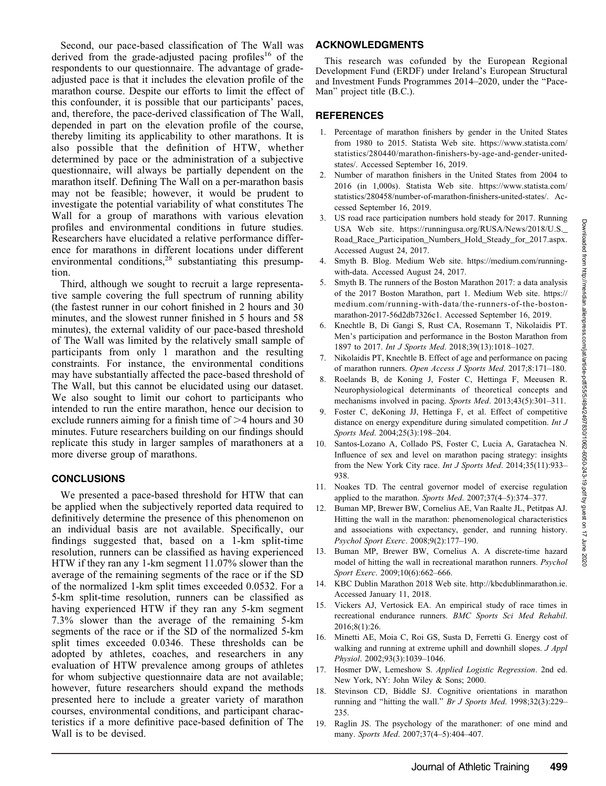Second, our pace-based classification of The Wall was derived from the grade-adjusted pacing profiles<sup>16</sup> of the respondents to our questionnaire. The advantage of gradeadjusted pace is that it includes the elevation profile of the marathon course. Despite our efforts to limit the effect of this confounder, it is possible that our participants' paces, and, therefore, the pace-derived classification of The Wall, depended in part on the elevation profile of the course, thereby limiting its applicability to other marathons. It is also possible that the definition of HTW, whether determined by pace or the administration of a subjective questionnaire, will always be partially dependent on the marathon itself. Defining The Wall on a per-marathon basis may not be feasible; however, it would be prudent to investigate the potential variability of what constitutes The Wall for a group of marathons with various elevation profiles and environmental conditions in future studies. Researchers have elucidated a relative performance difference for marathons in different locations under different environmental conditions,<sup>28</sup> substantiating this presumption.

Third, although we sought to recruit a large representative sample covering the full spectrum of running ability (the fastest runner in our cohort finished in 2 hours and 30 minutes, and the slowest runner finished in 5 hours and 58 minutes), the external validity of our pace-based threshold of The Wall was limited by the relatively small sample of participants from only 1 marathon and the resulting constraints. For instance, the environmental conditions may have substantially affected the pace-based threshold of The Wall, but this cannot be elucidated using our dataset. We also sought to limit our cohort to participants who intended to run the entire marathon, hence our decision to exclude runners aiming for a finish time of  $>4$  hours and 30 minutes. Future researchers building on our findings should replicate this study in larger samples of marathoners at a more diverse group of marathons.

#### CONCLUSIONS

We presented a pace-based threshold for HTW that can be applied when the subjectively reported data required to definitively determine the presence of this phenomenon on an individual basis are not available. Specifically, our findings suggested that, based on a 1-km split-time resolution, runners can be classified as having experienced HTW if they ran any 1-km segment 11.07% slower than the average of the remaining segments of the race or if the SD of the normalized 1-km split times exceeded 0.0532. For a 5-km split-time resolution, runners can be classified as having experienced HTW if they ran any 5-km segment 7.3% slower than the average of the remaining 5-km segments of the race or if the SD of the normalized 5-km split times exceeded 0.0346. These thresholds can be adopted by athletes, coaches, and researchers in any evaluation of HTW prevalence among groups of athletes for whom subjective questionnaire data are not available; however, future researchers should expand the methods presented here to include a greater variety of marathon courses, environmental conditions, and participant characteristics if a more definitive pace-based definition of The Wall is to be devised.

## ACKNOWLEDGMENTS

This research was cofunded by the European Regional Development Fund (ERDF) under Ireland's European Structural and Investment Funds Programmes 2014–2020, under the ''Pace-Man'' project title (B.C.).

## **REFERENCES**

- 1. Percentage of marathon finishers by gender in the United States from 1980 to 2015. Statista Web site. https://www.statista.com/ statistics/280440/marathon-finishers-by-age-and-gender-unitedstates/. Accessed September 16, 2019.
- 2. Number of marathon finishers in the United States from 2004 to 2016 (in 1,000s). Statista Web site. https://www.statista.com/ statistics/280458/number-of-marathon-finishers-united-states/. Accessed September 16, 2019.
- 3. US road race participation numbers hold steady for 2017. Running USA Web site. https://runningusa.org/RUSA/News/2018/U.S.\_ Road\_Race\_Participation\_Numbers\_Hold\_Steady\_for\_2017.aspx. Accessed August 24, 2017.
- 4. Smyth B. Blog. Medium Web site. https://medium.com/runningwith-data. Accessed August 24, 2017.
- 5. Smyth B. The runners of the Boston Marathon 2017: a data analysis of the 2017 Boston Marathon, part 1. Medium Web site. https:// medium.com/running-with-data/the-runners-of-the-bostonmarathon-2017-56d2db7326c1. Accessed September 16, 2019.
- 6. Knechtle B, Di Gangi S, Rust CA, Rosemann T, Nikolaidis PT. Men's participation and performance in the Boston Marathon from 1897 to 2017. Int J Sports Med. 2018;39(13):1018–1027.
- 7. Nikolaidis PT, Knechtle B. Effect of age and performance on pacing of marathon runners. Open Access J Sports Med. 2017;8:171–180.
- 8. Roelands B, de Koning J, Foster C, Hettinga F, Meeusen R. Neurophysiological determinants of theoretical concepts and mechanisms involved in pacing. Sports Med. 2013;43(5):301–311.
- 9. Foster C, deKoning JJ, Hettinga F, et al. Effect of competitive distance on energy expenditure during simulated competition. Int J Sports Med. 2004;25(3):198–204.
- 10. Santos-Lozano A, Collado PS, Foster C, Lucia A, Garatachea N. Influence of sex and level on marathon pacing strategy: insights from the New York City race. Int J Sports Med. 2014;35(11):933-938.
- 11. Noakes TD. The central governor model of exercise regulation applied to the marathon. Sports Med. 2007;37(4–5):374–377.
- 12. Buman MP, Brewer BW, Cornelius AE, Van Raalte JL, Petitpas AJ. Hitting the wall in the marathon: phenomenological characteristics and associations with expectancy, gender, and running history. Psychol Sport Exerc. 2008;9(2):177–190.
- 13. Buman MP, Brewer BW, Cornelius A. A discrete-time hazard model of hitting the wall in recreational marathon runners. Psychol Sport Exerc. 2009;10(6):662–666.
- 14. KBC Dublin Marathon 2018 Web site. http://kbcdublinmarathon.ie. Accessed January 11, 2018.
- 15. Vickers AJ, Vertosick EA. An empirical study of race times in recreational endurance runners. BMC Sports Sci Med Rehabil. 2016;8(1):26.
- 16. Minetti AE, Moia C, Roi GS, Susta D, Ferretti G. Energy cost of walking and running at extreme uphill and downhill slopes. J Appl Physiol. 2002;93(3):1039–1046.
- 17. Hosmer DW, Lemeshow S. Applied Logistic Regression. 2nd ed. New York, NY: John Wiley & Sons; 2000.
- 18. Stevinson CD, Biddle SJ. Cognitive orientations in marathon running and ''hitting the wall.'' Br J Sports Med. 1998;32(3):229– 235.
- 19. Raglin JS. The psychology of the marathoner: of one mind and many. Sports Med. 2007;37(4–5):404–407.